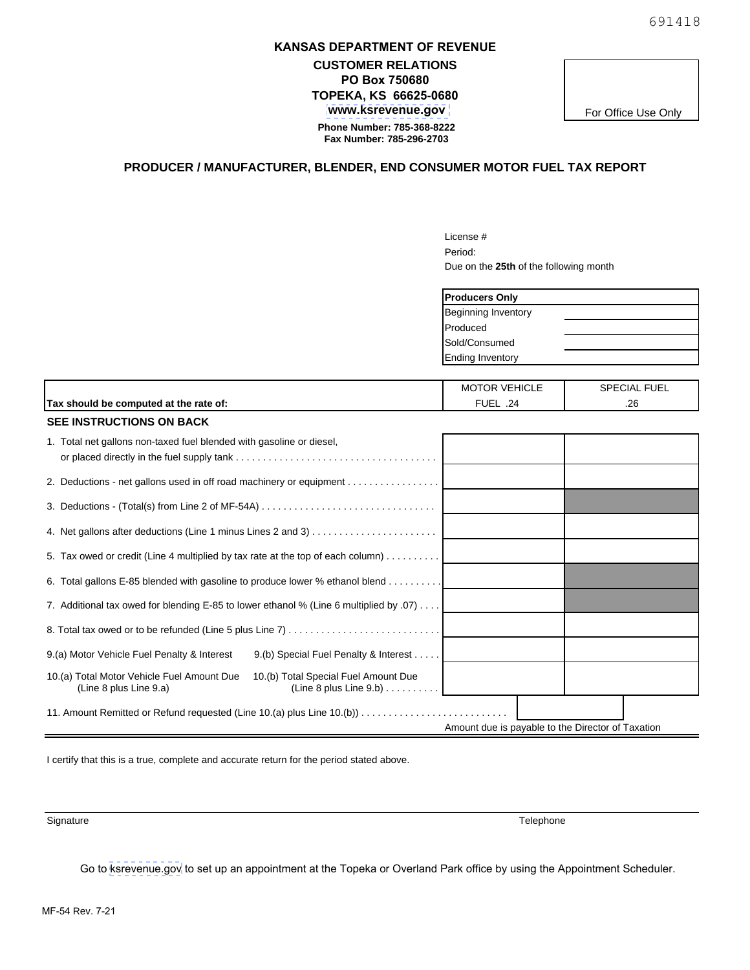## **KANSAS DEPARTMENT OF REVENUE**

**CUSTOMER RELATIONS PO Box 750680 TOPEKA, KS 66625-0680  [www.ksrevenue.](https://www.ksrevenue.org/forms-mfmisc.html#manu)gov Phone Number: 785-368-8222 Fax Number: 785-296-2703** 

For Office Use Only

## **PRODUCER / MANUFACTURER, BLENDER, END CONSUMER MOTOR FUEL TAX REPORT**

License # Period: Due on the **25th** of the following month

| <b>Producers Only</b>   |  |
|-------------------------|--|
| Beginning Inventory     |  |
| Produced                |  |
| Sold/Consumed           |  |
| <b>Ending Inventory</b> |  |

|                                        | <b>VEHICLE</b><br>DTOR<br>MC | <b>FUEL</b><br><b>SPECIAL</b> |
|----------------------------------------|------------------------------|-------------------------------|
| Tax should be computed at the rate of: | <b>FUE</b><br>24             | oc<br>ه∠.                     |

| <b>SEE INSTRUCTIONS ON BACK</b>                                                                                                                               |  |
|---------------------------------------------------------------------------------------------------------------------------------------------------------------|--|
| 1. Total net gallons non-taxed fuel blended with gasoline or diesel,                                                                                          |  |
|                                                                                                                                                               |  |
|                                                                                                                                                               |  |
|                                                                                                                                                               |  |
| 5. Tax owed or credit (Line 4 multiplied by tax rate at the top of each column)                                                                               |  |
| 6. Total gallons E-85 blended with gasoline to produce lower % ethanol blend                                                                                  |  |
| 7. Additional tax owed for blending E-85 to lower ethanol % (Line 6 multiplied by .07)                                                                        |  |
|                                                                                                                                                               |  |
| 9.(a) Motor Vehicle Fuel Penalty & Interest<br>9.(b) Special Fuel Penalty & Interest                                                                          |  |
| 10.(b) Total Special Fuel Amount Due<br>10.(a) Total Motor Vehicle Fuel Amount Due<br>(Line 8 plus Line 9.b) $\ldots \ldots \ldots$<br>(Line 8 plus Line 9.a) |  |
| 11. Amount Remitted or Refund requested (Line 10.(a) plus Line 10.(b))                                                                                        |  |
| Amount due is payable to the Director of Taxation                                                                                                             |  |

I certify that this is a true, complete and accurate return for the period stated above.

Signature **Telephone Telephone** 

Go to [ksrevenue.](https://www.kdor.ks.gov/Apps/AppointmentScheduler/ApptSchedule/Times?locType=TAX)gov to set up an appointment at the Topeka or Overland Park office by using the Appointment Scheduler.